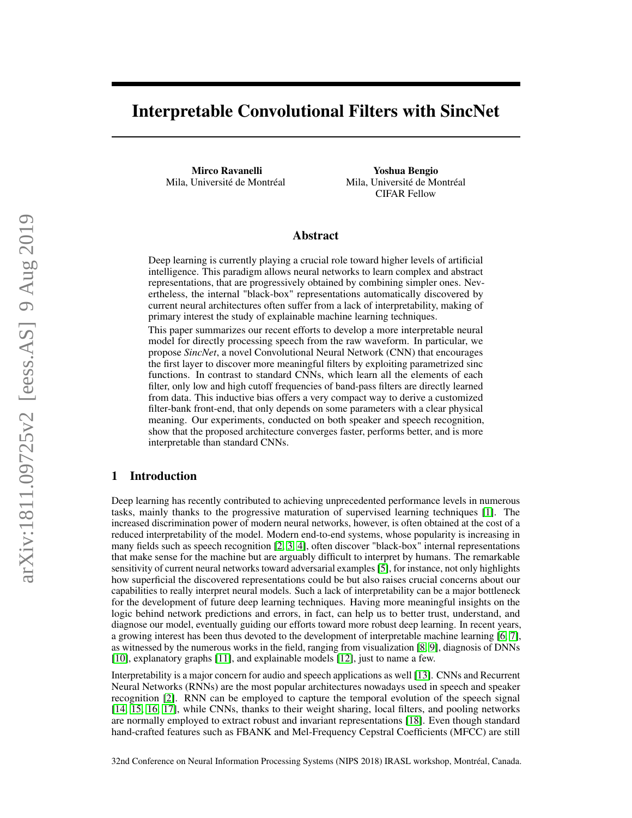# Interpretable Convolutional Filters with SincNet

Mirco Ravanelli Mila, Université de Montréal

Yoshua Bengio Mila, Université de Montréal CIFAR Fellow

## Abstract

Deep learning is currently playing a crucial role toward higher levels of artificial intelligence. This paradigm allows neural networks to learn complex and abstract representations, that are progressively obtained by combining simpler ones. Nevertheless, the internal "black-box" representations automatically discovered by current neural architectures often suffer from a lack of interpretability, making of primary interest the study of explainable machine learning techniques.

This paper summarizes our recent efforts to develop a more interpretable neural model for directly processing speech from the raw waveform. In particular, we propose *SincNet*, a novel Convolutional Neural Network (CNN) that encourages the first layer to discover more meaningful filters by exploiting parametrized sinc functions. In contrast to standard CNNs, which learn all the elements of each filter, only low and high cutoff frequencies of band-pass filters are directly learned from data. This inductive bias offers a very compact way to derive a customized filter-bank front-end, that only depends on some parameters with a clear physical meaning. Our experiments, conducted on both speaker and speech recognition, show that the proposed architecture converges faster, performs better, and is more interpretable than standard CNNs.

## 1 Introduction

Deep learning has recently contributed to achieving unprecedented performance levels in numerous tasks, mainly thanks to the progressive maturation of supervised learning techniques [\[1\]](#page-8-0). The increased discrimination power of modern neural networks, however, is often obtained at the cost of a reduced interpretability of the model. Modern end-to-end systems, whose popularity is increasing in many fields such as speech recognition [\[2,](#page-8-1) [3,](#page-8-2) [4\]](#page-8-3), often discover "black-box" internal representations that make sense for the machine but are arguably difficult to interpret by humans. The remarkable sensitivity of current neural networks toward adversarial examples [\[5\]](#page-8-4), for instance, not only highlights how superficial the discovered representations could be but also raises crucial concerns about our capabilities to really interpret neural models. Such a lack of interpretability can be a major bottleneck for the development of future deep learning techniques. Having more meaningful insights on the logic behind network predictions and errors, in fact, can help us to better trust, understand, and diagnose our model, eventually guiding our efforts toward more robust deep learning. In recent years, a growing interest has been thus devoted to the development of interpretable machine learning [\[6,](#page-8-5) [7\]](#page-8-6), as witnessed by the numerous works in the field, ranging from visualization [\[8,](#page-8-7) [9\]](#page-8-8), diagnosis of DNNs [\[10\]](#page-8-9), explanatory graphs [\[11\]](#page-8-10), and explainable models [\[12\]](#page-8-11), just to name a few.

Interpretability is a major concern for audio and speech applications as well [\[13\]](#page-8-12). CNNs and Recurrent Neural Networks (RNNs) are the most popular architectures nowadays used in speech and speaker recognition [\[2\]](#page-8-1). RNN can be employed to capture the temporal evolution of the speech signal [\[14,](#page-8-13) [15,](#page-8-14) [16,](#page-8-15) [17\]](#page-8-16), while CNNs, thanks to their weight sharing, local filters, and pooling networks are normally employed to extract robust and invariant representations [\[18\]](#page-8-17). Even though standard hand-crafted features such as FBANK and Mel-Frequency Cepstral Coefficients (MFCC) are still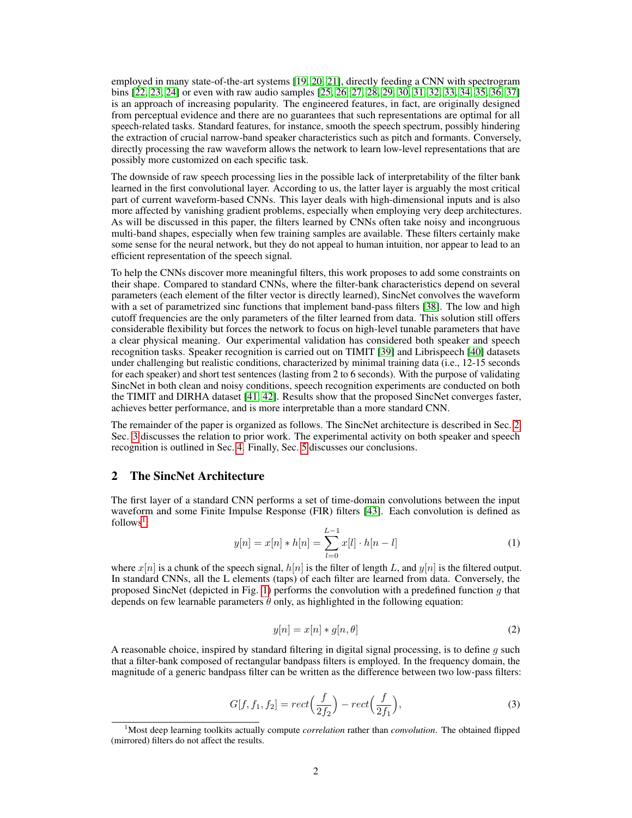employed in many state-of-the-art systems [\[19,](#page-8-18) [20,](#page-8-19) [21\]](#page-8-20), directly feeding a CNN with spectrogram bins [\[22,](#page-9-0) [23,](#page-9-1) [24\]](#page-9-2) or even with raw audio samples [\[25,](#page-9-3) [26,](#page-9-4) [27,](#page-9-5) [28,](#page-9-6) [29,](#page-9-7) [30,](#page-9-8) [31,](#page-9-9) [32,](#page-9-10) [33,](#page-9-11) [34,](#page-9-12) [35,](#page-9-13) [36,](#page-9-14) [37\]](#page-9-15) is an approach of increasing popularity. The engineered features, in fact, are originally designed from perceptual evidence and there are no guarantees that such representations are optimal for all speech-related tasks. Standard features, for instance, smooth the speech spectrum, possibly hindering the extraction of crucial narrow-band speaker characteristics such as pitch and formants. Conversely, directly processing the raw waveform allows the network to learn low-level representations that are possibly more customized on each specific task.

The downside of raw speech processing lies in the possible lack of interpretability of the filter bank learned in the first convolutional layer. According to us, the latter layer is arguably the most critical part of current waveform-based CNNs. This layer deals with high-dimensional inputs and is also more affected by vanishing gradient problems, especially when employing very deep architectures. As will be discussed in this paper, the filters learned by CNNs often take noisy and incongruous multi-band shapes, especially when few training samples are available. These filters certainly make some sense for the neural network, but they do not appeal to human intuition, nor appear to lead to an efficient representation of the speech signal.

To help the CNNs discover more meaningful filters, this work proposes to add some constraints on their shape. Compared to standard CNNs, where the filter-bank characteristics depend on several parameters (each element of the filter vector is directly learned), SincNet convolves the waveform with a set of parametrized sinc functions that implement band-pass filters [\[38\]](#page-9-16). The low and high cutoff frequencies are the only parameters of the filter learned from data. This solution still offers considerable flexibility but forces the network to focus on high-level tunable parameters that have a clear physical meaning. Our experimental validation has considered both speaker and speech recognition tasks. Speaker recognition is carried out on TIMIT [\[39\]](#page-9-17) and Librispeech [\[40\]](#page-9-18) datasets under challenging but realistic conditions, characterized by minimal training data (i.e., 12-15 seconds for each speaker) and short test sentences (lasting from 2 to 6 seconds). With the purpose of validating SincNet in both clean and noisy conditions, speech recognition experiments are conducted on both the TIMIT and DIRHA dataset [\[41,](#page-9-19) [42\]](#page-9-20). Results show that the proposed SincNet converges faster, achieves better performance, and is more interpretable than a more standard CNN.

The remainder of the paper is organized as follows. The SincNet architecture is described in Sec. [2.](#page-1-0) Sec. [3](#page-5-0) discusses the relation to prior work. The experimental activity on both speaker and speech recognition is outlined in Sec. [4.](#page-6-0) Finally, Sec. [5](#page-7-0) discusses our conclusions.

# <span id="page-1-0"></span>2 The SincNet Architecture

The first layer of a standard CNN performs a set of time-domain convolutions between the input waveform and some Finite Impulse Response (FIR) filters [\[43\]](#page-9-21). Each convolution is defined as  $follows<sup>1</sup>$  $follows<sup>1</sup>$  $follows<sup>1</sup>$ :

$$
y[n] = x[n] * h[n] = \sum_{l=0}^{L-1} x[l] \cdot h[n-l]
$$
 (1)

where  $x[n]$  is a chunk of the speech signal,  $h[n]$  is the filter of length L, and  $y[n]$  is the filtered output. In standard CNNs, all the L elements (taps) of each filter are learned from data. Conversely, the proposed SincNet (depicted in Fig. [1\)](#page-2-0) performs the convolution with a predefined function  $q$  that depends on few learnable parameters  $\theta$  only, as highlighted in the following equation:

$$
y[n] = x[n] * g[n, \theta]
$$
\n<sup>(2)</sup>

A reasonable choice, inspired by standard filtering in digital signal processing, is to define  $q$  such that a filter-bank composed of rectangular bandpass filters is employed. In the frequency domain, the magnitude of a generic bandpass filter can be written as the difference between two low-pass filters:

$$
G[f, f_1, f_2] = rect\left(\frac{f}{2f_2}\right) - rect\left(\frac{f}{2f_1}\right),\tag{3}
$$

<span id="page-1-1"></span><sup>1</sup>Most deep learning toolkits actually compute *correlation* rather than *convolution*. The obtained flipped (mirrored) filters do not affect the results.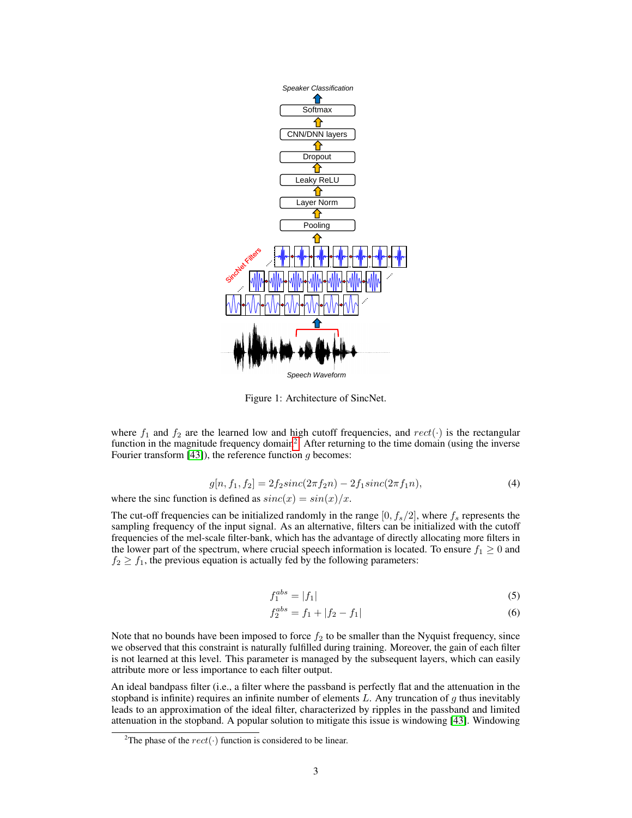<span id="page-2-0"></span>

Figure 1: Architecture of SincNet.

where  $f_1$  and  $f_2$  are the learned low and high cutoff frequencies, and  $rect(\cdot)$  is the rectangular function in the magnitude frequency domain<sup>[2](#page-2-1)</sup>. After returning to the time domain (using the inverse Fourier transform  $[43]$ , the reference function g becomes:

$$
g[n, f_1, f_2] = 2f_2sinc(2\pi f_2n) - 2f_1sinc(2\pi f_1n),
$$
\n(4)

where the sinc function is defined as  $sinc(x) = sin(x)/x$ .

The cut-off frequencies can be initialized randomly in the range  $[0, f_s/2]$ , where  $f_s$  represents the sampling frequency of the input signal. As an alternative, filters can be initialized with the cutoff frequencies of the mel-scale filter-bank, which has the advantage of directly allocating more filters in the lower part of the spectrum, where crucial speech information is located. To ensure  $f_1 \geq 0$  and  $f_2 \geq f_1$ , the previous equation is actually fed by the following parameters:

$$
f_1^{abs} = |f_1| \tag{5}
$$

$$
f_2^{abs} = f_1 + |f_2 - f_1| \tag{6}
$$

Note that no bounds have been imposed to force  $f_2$  to be smaller than the Nyquist frequency, since we observed that this constraint is naturally fulfilled during training. Moreover, the gain of each filter is not learned at this level. This parameter is managed by the subsequent layers, which can easily attribute more or less importance to each filter output.

An ideal bandpass filter (i.e., a filter where the passband is perfectly flat and the attenuation in the stopband is infinite) requires an infinite number of elements  $L$ . Any truncation of  $g$  thus inevitably leads to an approximation of the ideal filter, characterized by ripples in the passband and limited attenuation in the stopband. A popular solution to mitigate this issue is windowing [\[43\]](#page-9-21). Windowing

<span id="page-2-1"></span><sup>&</sup>lt;sup>2</sup>The phase of the  $rect(\cdot)$  function is considered to be linear.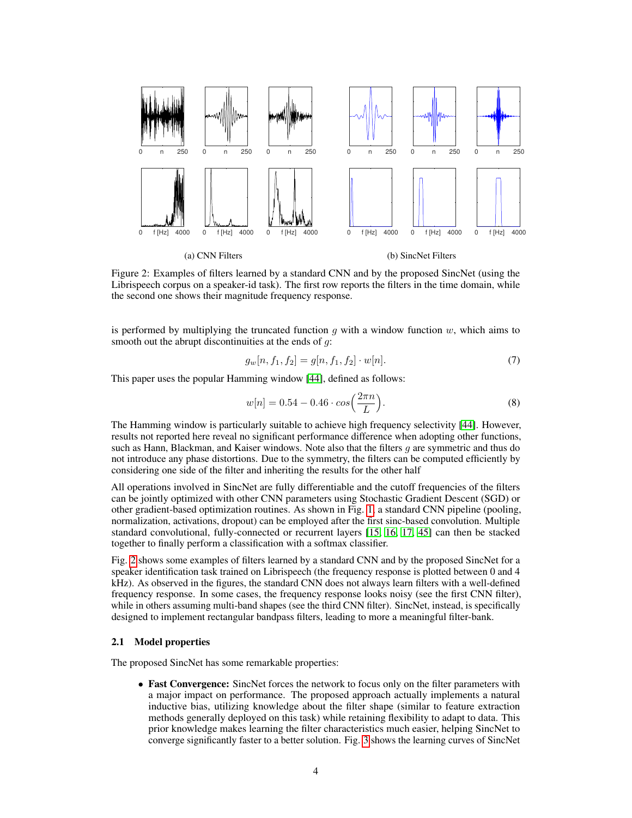<span id="page-3-0"></span>

Figure 2: Examples of filters learned by a standard CNN and by the proposed SincNet (using the Librispeech corpus on a speaker-id task). The first row reports the filters in the time domain, while the second one shows their magnitude frequency response.

is performed by multiplying the truncated function  $q$  with a window function  $w$ , which aims to smooth out the abrupt discontinuities at the ends of  $q$ :

$$
g_w[n, f_1, f_2] = g[n, f_1, f_2] \cdot w[n]. \tag{7}
$$

This paper uses the popular Hamming window [\[44\]](#page-9-22), defined as follows:

$$
w[n] = 0.54 - 0.46 \cdot \cos\left(\frac{2\pi n}{L}\right). \tag{8}
$$

The Hamming window is particularly suitable to achieve high frequency selectivity [\[44\]](#page-9-22). However, results not reported here reveal no significant performance difference when adopting other functions, such as Hann, Blackman, and Kaiser windows. Note also that the filters  $q$  are symmetric and thus do not introduce any phase distortions. Due to the symmetry, the filters can be computed efficiently by considering one side of the filter and inheriting the results for the other half

All operations involved in SincNet are fully differentiable and the cutoff frequencies of the filters can be jointly optimized with other CNN parameters using Stochastic Gradient Descent (SGD) or other gradient-based optimization routines. As shown in Fig. [1,](#page-2-0) a standard CNN pipeline (pooling, normalization, activations, dropout) can be employed after the first sinc-based convolution. Multiple standard convolutional, fully-connected or recurrent layers [\[15,](#page-8-14) [16,](#page-8-15) [17,](#page-8-16) [45\]](#page-9-23) can then be stacked together to finally perform a classification with a softmax classifier.

Fig. [2](#page-3-0) shows some examples of filters learned by a standard CNN and by the proposed SincNet for a speaker identification task trained on Librispeech (the frequency response is plotted between 0 and 4 kHz). As observed in the figures, the standard CNN does not always learn filters with a well-defined frequency response. In some cases, the frequency response looks noisy (see the first CNN filter), while in others assuming multi-band shapes (see the third CNN filter). SincNet, instead, is specifically designed to implement rectangular bandpass filters, leading to more a meaningful filter-bank.

#### 2.1 Model properties

The proposed SincNet has some remarkable properties:

• Fast Convergence: SincNet forces the network to focus only on the filter parameters with a major impact on performance. The proposed approach actually implements a natural inductive bias, utilizing knowledge about the filter shape (similar to feature extraction methods generally deployed on this task) while retaining flexibility to adapt to data. This prior knowledge makes learning the filter characteristics much easier, helping SincNet to converge significantly faster to a better solution. Fig. [3](#page-4-0) shows the learning curves of SincNet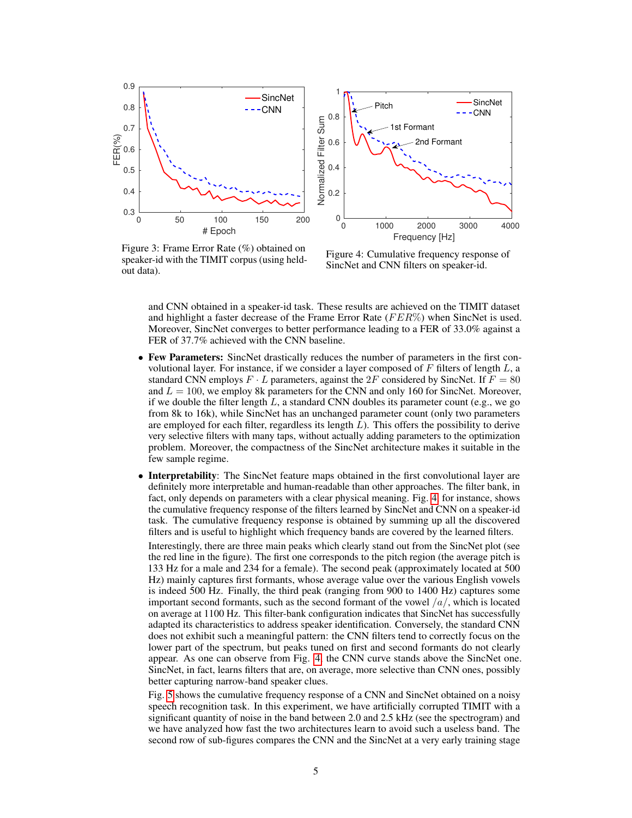<span id="page-4-0"></span>

Figure 3: Frame Error Rate (%) obtained on speaker-id with the TIMIT corpus (using heldout data).

Figure 4: Cumulative frequency response of SincNet and CNN filters on speaker-id.

and CNN obtained in a speaker-id task. These results are achieved on the TIMIT dataset and highlight a faster decrease of the Frame Error Rate  $(FER\%)$  when SincNet is used. Moreover, SincNet converges to better performance leading to a FER of 33.0% against a FER of 37.7% achieved with the CNN baseline.

- Few Parameters: SincNet drastically reduces the number of parameters in the first convolutional layer. For instance, if we consider a layer composed of  $F$  filters of length  $L$ , a standard CNN employs  $F \cdot L$  parameters, against the  $2F$  considered by SincNet. If  $F = 80$ and  $L = 100$ , we employ 8k parameters for the CNN and only 160 for SincNet. Moreover, if we double the filter length  $L$ , a standard CNN doubles its parameter count (e.g., we go from 8k to 16k), while SincNet has an unchanged parameter count (only two parameters are employed for each filter, regardless its length  $L$ ). This offers the possibility to derive very selective filters with many taps, without actually adding parameters to the optimization problem. Moreover, the compactness of the SincNet architecture makes it suitable in the few sample regime.
- Interpretability: The SincNet feature maps obtained in the first convolutional layer are definitely more interpretable and human-readable than other approaches. The filter bank, in fact, only depends on parameters with a clear physical meaning. Fig. [4,](#page-4-0) for instance, shows the cumulative frequency response of the filters learned by SincNet and CNN on a speaker-id task. The cumulative frequency response is obtained by summing up all the discovered filters and is useful to highlight which frequency bands are covered by the learned filters.

Interestingly, there are three main peaks which clearly stand out from the SincNet plot (see the red line in the figure). The first one corresponds to the pitch region (the average pitch is 133 Hz for a male and 234 for a female). The second peak (approximately located at 500 Hz) mainly captures first formants, whose average value over the various English vowels is indeed 500 Hz. Finally, the third peak (ranging from 900 to 1400 Hz) captures some important second formants, such as the second formant of the vowel  $\frac{a}{,}$  which is located on average at 1100 Hz. This filter-bank configuration indicates that SincNet has successfully adapted its characteristics to address speaker identification. Conversely, the standard CNN does not exhibit such a meaningful pattern: the CNN filters tend to correctly focus on the lower part of the spectrum, but peaks tuned on first and second formants do not clearly appear. As one can observe from Fig. [4,](#page-4-0) the CNN curve stands above the SincNet one. SincNet, in fact, learns filters that are, on average, more selective than CNN ones, possibly better capturing narrow-band speaker clues.

Fig. [5](#page-5-1) shows the cumulative frequency response of a CNN and SincNet obtained on a noisy speech recognition task. In this experiment, we have artificially corrupted TIMIT with a significant quantity of noise in the band between 2.0 and 2.5 kHz (see the spectrogram) and we have analyzed how fast the two architectures learn to avoid such a useless band. The second row of sub-figures compares the CNN and the SincNet at a very early training stage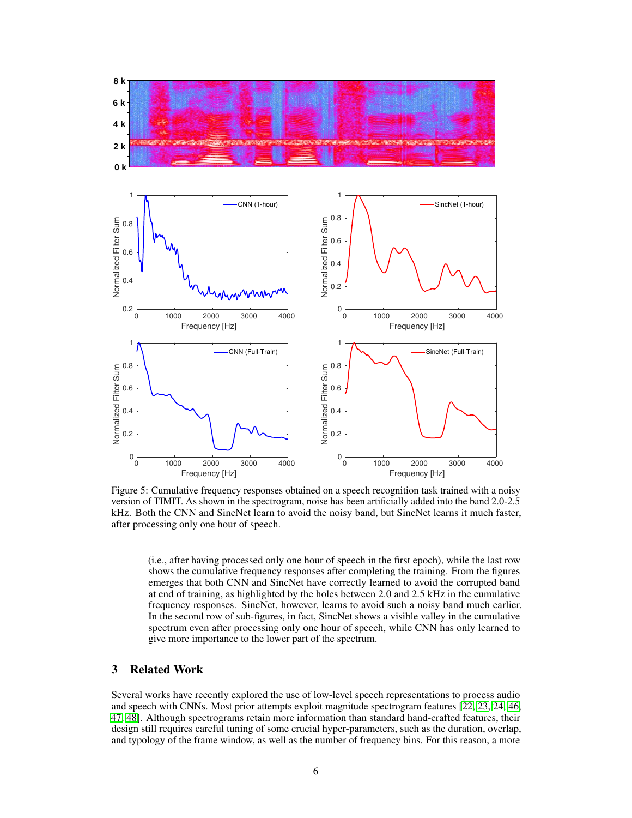<span id="page-5-1"></span>

Figure 5: Cumulative frequency responses obtained on a speech recognition task trained with a noisy version of TIMIT. As shown in the spectrogram, noise has been artificially added into the band 2.0-2.5 kHz. Both the CNN and SincNet learn to avoid the noisy band, but SincNet learns it much faster, after processing only one hour of speech.

(i.e., after having processed only one hour of speech in the first epoch), while the last row shows the cumulative frequency responses after completing the training. From the figures emerges that both CNN and SincNet have correctly learned to avoid the corrupted band at end of training, as highlighted by the holes between 2.0 and 2.5 kHz in the cumulative frequency responses. SincNet, however, learns to avoid such a noisy band much earlier. In the second row of sub-figures, in fact, SincNet shows a visible valley in the cumulative spectrum even after processing only one hour of speech, while CNN has only learned to give more importance to the lower part of the spectrum.

## <span id="page-5-0"></span>3 Related Work

Several works have recently explored the use of low-level speech representations to process audio and speech with CNNs. Most prior attempts exploit magnitude spectrogram features [\[22,](#page-9-0) [23,](#page-9-1) [24,](#page-9-2) [46,](#page-9-24) [47,](#page-9-25) [48\]](#page-10-0). Although spectrograms retain more information than standard hand-crafted features, their design still requires careful tuning of some crucial hyper-parameters, such as the duration, overlap, and typology of the frame window, as well as the number of frequency bins. For this reason, a more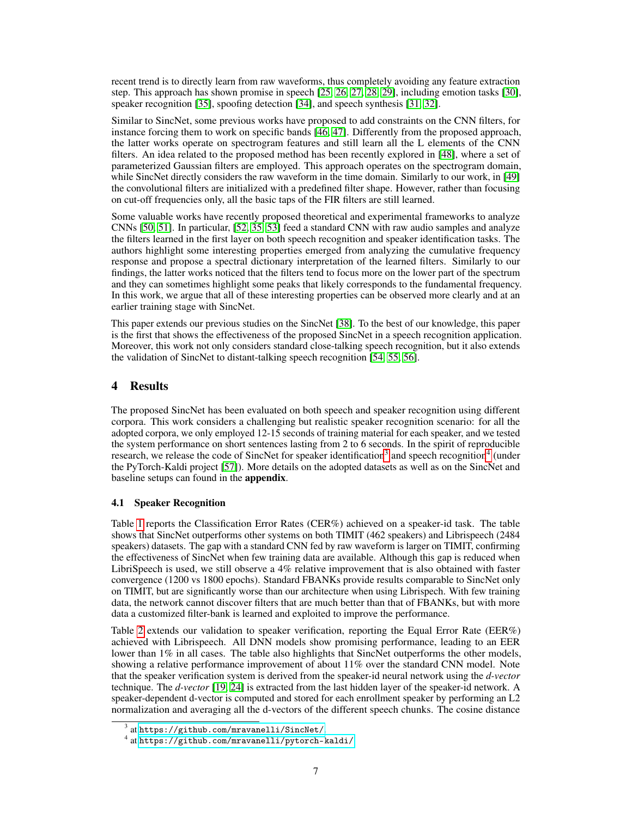recent trend is to directly learn from raw waveforms, thus completely avoiding any feature extraction step. This approach has shown promise in speech [\[25,](#page-9-3) [26,](#page-9-4) [27,](#page-9-5) [28,](#page-9-6) [29\]](#page-9-7), including emotion tasks [\[30\]](#page-9-8), speaker recognition [\[35\]](#page-9-13), spoofing detection [\[34\]](#page-9-12), and speech synthesis [\[31,](#page-9-9) [32\]](#page-9-10).

Similar to SincNet, some previous works have proposed to add constraints on the CNN filters, for instance forcing them to work on specific bands [\[46,](#page-9-24) [47\]](#page-9-25). Differently from the proposed approach, the latter works operate on spectrogram features and still learn all the L elements of the CNN filters. An idea related to the proposed method has been recently explored in [\[48\]](#page-10-0), where a set of parameterized Gaussian filters are employed. This approach operates on the spectrogram domain, while SincNet directly considers the raw waveform in the time domain. Similarly to our work, in [\[49\]](#page-10-1) the convolutional filters are initialized with a predefined filter shape. However, rather than focusing on cut-off frequencies only, all the basic taps of the FIR filters are still learned.

Some valuable works have recently proposed theoretical and experimental frameworks to analyze CNNs [\[50,](#page-10-2) [51\]](#page-10-3). In particular, [\[52,](#page-10-4) [35,](#page-9-13) [53\]](#page-10-5) feed a standard CNN with raw audio samples and analyze the filters learned in the first layer on both speech recognition and speaker identification tasks. The authors highlight some interesting properties emerged from analyzing the cumulative frequency response and propose a spectral dictionary interpretation of the learned filters. Similarly to our findings, the latter works noticed that the filters tend to focus more on the lower part of the spectrum and they can sometimes highlight some peaks that likely corresponds to the fundamental frequency. In this work, we argue that all of these interesting properties can be observed more clearly and at an earlier training stage with SincNet.

This paper extends our previous studies on the SincNet [\[38\]](#page-9-16). To the best of our knowledge, this paper is the first that shows the effectiveness of the proposed SincNet in a speech recognition application. Moreover, this work not only considers standard close-talking speech recognition, but it also extends the validation of SincNet to distant-talking speech recognition [\[54,](#page-10-6) [55,](#page-10-7) [56\]](#page-10-8).

# <span id="page-6-0"></span>4 Results

The proposed SincNet has been evaluated on both speech and speaker recognition using different corpora. This work considers a challenging but realistic speaker recognition scenario: for all the adopted corpora, we only employed 12-15 seconds of training material for each speaker, and we tested the system performance on short sentences lasting from 2 to 6 seconds. In the spirit of reproducible research, we release the code of SincNet for speaker identification<sup>[3](#page-6-1)</sup> and speech recognition<sup>[4](#page-6-2)</sup> (under the PyTorch-Kaldi project [\[57\]](#page-10-9)). More details on the adopted datasets as well as on the SincNet and baseline setups can found in the appendix.

## 4.1 Speaker Recognition

Table [1](#page-7-1) reports the Classification Error Rates (CER%) achieved on a speaker-id task. The table shows that SincNet outperforms other systems on both TIMIT (462 speakers) and Librispeech (2484 speakers) datasets. The gap with a standard CNN fed by raw waveform is larger on TIMIT, confirming the effectiveness of SincNet when few training data are available. Although this gap is reduced when LibriSpeech is used, we still observe a 4% relative improvement that is also obtained with faster convergence (1200 vs 1800 epochs). Standard FBANKs provide results comparable to SincNet only on TIMIT, but are significantly worse than our architecture when using Librispech. With few training data, the network cannot discover filters that are much better than that of FBANKs, but with more data a customized filter-bank is learned and exploited to improve the performance.

Table [2](#page-7-1) extends our validation to speaker verification, reporting the Equal Error Rate (EER%) achieved with Librispeech. All DNN models show promising performance, leading to an EER lower than 1% in all cases. The table also highlights that SincNet outperforms the other models, showing a relative performance improvement of about 11% over the standard CNN model. Note that the speaker verification system is derived from the speaker-id neural network using the *d-vector* technique. The *d-vector* [\[19,](#page-8-18) [24\]](#page-9-2) is extracted from the last hidden layer of the speaker-id network. A speaker-dependent d-vector is computed and stored for each enrollment speaker by performing an L2 normalization and averaging all the d-vectors of the different speech chunks. The cosine distance

<span id="page-6-1"></span> $^3$  at <https://github.com/mravanelli/SincNet/>.

<span id="page-6-2"></span><sup>4</sup> at <https://github.com/mravanelli/pytorch-kaldi/>.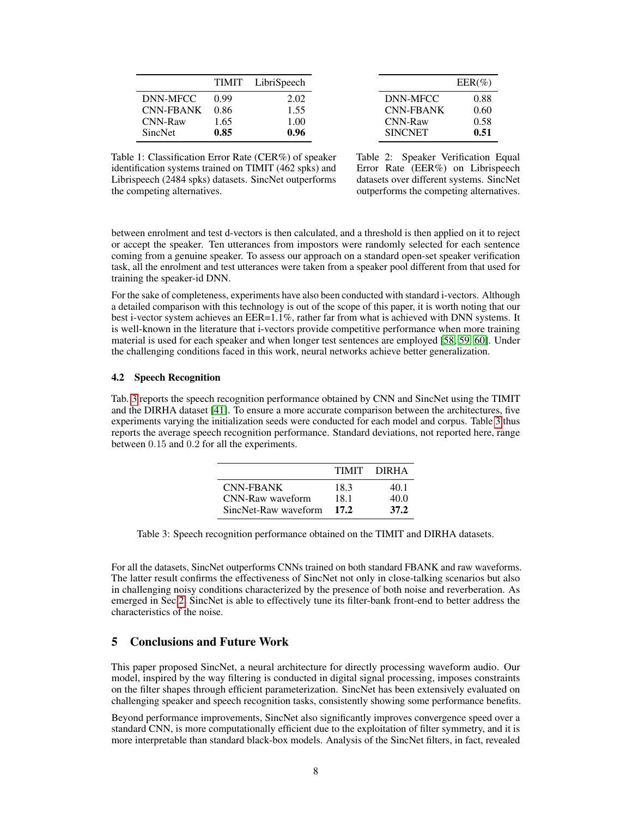<span id="page-7-1"></span>

|           | <b>TIMIT</b> | LibriSpeech |
|-----------|--------------|-------------|
| DNN-MFCC  | 0.99         | 2.02        |
| CNN-FBANK | 0.86         | 1.55        |
| CNN-Raw   | 1.65         | 1.00        |
| SincNet   | 0.85         | 0.96        |

 $EER(\%)$ DNN-MFCC 0.88 CNN-FBANK 0.60 CNN-Raw 0.58 SINCNET 0.51

Table 1: Classification Error Rate (CER%) of speaker identification systems trained on TIMIT (462 spks) and Librispeech (2484 spks) datasets. SincNet outperforms the competing alternatives.

Table 2: Speaker Verification Equal Error Rate (EER%) on Librispeech datasets over different systems. SincNet outperforms the competing alternatives.

between enrolment and test d-vectors is then calculated, and a threshold is then applied on it to reject or accept the speaker. Ten utterances from impostors were randomly selected for each sentence coming from a genuine speaker. To assess our approach on a standard open-set speaker verification task, all the enrolment and test utterances were taken from a speaker pool different from that used for training the speaker-id DNN.

For the sake of completeness, experiments have also been conducted with standard i-vectors. Although a detailed comparison with this technology is out of the scope of this paper, it is worth noting that our best i-vector system achieves an EER=1.1%, rather far from what is achieved with DNN systems. It is well-known in the literature that i-vectors provide competitive performance when more training material is used for each speaker and when longer test sentences are employed [\[58,](#page-10-10) [59,](#page-10-11) [60\]](#page-10-12). Under the challenging conditions faced in this work, neural networks achieve better generalization.

#### 4.2 Speech Recognition

<span id="page-7-2"></span>Tab. [3](#page-7-2) reports the speech recognition performance obtained by CNN and SincNet using the TIMIT and the DIRHA dataset [\[41\]](#page-9-19). To ensure a more accurate comparison between the architectures, five experiments varying the initialization seeds were conducted for each model and corpus. Table [3](#page-7-2) thus reports the average speech recognition performance. Standard deviations, not reported here, range between 0.15 and 0.2 for all the experiments.

|                      | <b>TIMIT</b> | <b>DIRHA</b> |
|----------------------|--------------|--------------|
| CNN-FRANK            | 18.3         | 40.1         |
| CNN-Raw waveform     | 18.1         | 40.0         |
| SincNet-Raw waveform | 17.2         | 37.2         |

Table 3: Speech recognition performance obtained on the TIMIT and DIRHA datasets.

For all the datasets, SincNet outperforms CNNs trained on both standard FBANK and raw waveforms. The latter result confirms the effectiveness of SincNet not only in close-talking scenarios but also in challenging noisy conditions characterized by the presence of both noise and reverberation. As emerged in Sec[.2,](#page-1-0) SincNet is able to effectively tune its filter-bank front-end to better address the characteristics of the noise.

# <span id="page-7-0"></span>5 Conclusions and Future Work

This paper proposed SincNet, a neural architecture for directly processing waveform audio. Our model, inspired by the way filtering is conducted in digital signal processing, imposes constraints on the filter shapes through efficient parameterization. SincNet has been extensively evaluated on challenging speaker and speech recognition tasks, consistently showing some performance benefits.

Beyond performance improvements, SincNet also significantly improves convergence speed over a standard CNN, is more computationally efficient due to the exploitation of filter symmetry, and it is more interpretable than standard black-box models. Analysis of the SincNet filters, in fact, revealed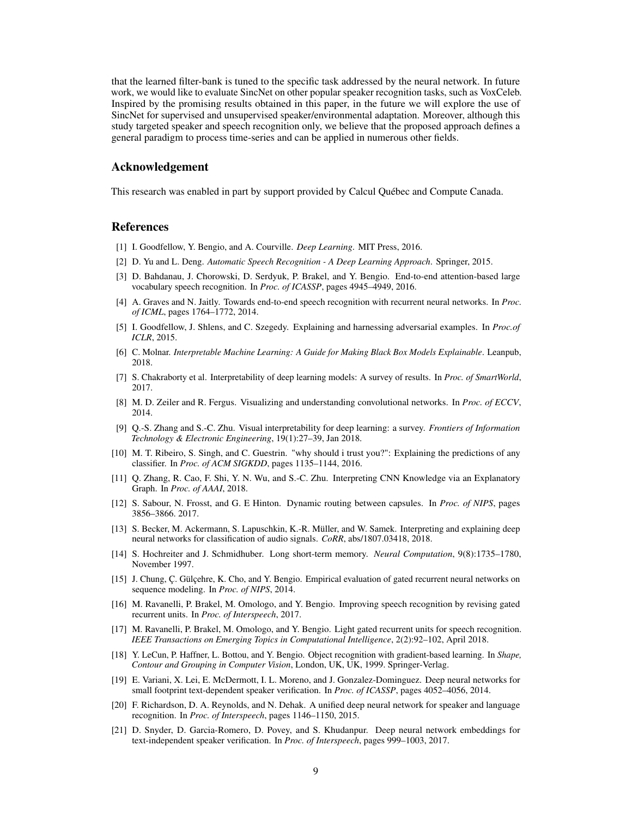that the learned filter-bank is tuned to the specific task addressed by the neural network. In future work, we would like to evaluate SincNet on other popular speaker recognition tasks, such as VoxCeleb. Inspired by the promising results obtained in this paper, in the future we will explore the use of SincNet for supervised and unsupervised speaker/environmental adaptation. Moreover, although this study targeted speaker and speech recognition only, we believe that the proposed approach defines a general paradigm to process time-series and can be applied in numerous other fields.

## Acknowledgement

This research was enabled in part by support provided by Calcul Québec and Compute Canada.

# References

- <span id="page-8-0"></span>[1] I. Goodfellow, Y. Bengio, and A. Courville. *Deep Learning*. MIT Press, 2016.
- <span id="page-8-1"></span>[2] D. Yu and L. Deng. *Automatic Speech Recognition - A Deep Learning Approach*. Springer, 2015.
- <span id="page-8-2"></span>[3] D. Bahdanau, J. Chorowski, D. Serdyuk, P. Brakel, and Y. Bengio. End-to-end attention-based large vocabulary speech recognition. In *Proc. of ICASSP*, pages 4945–4949, 2016.
- <span id="page-8-3"></span>[4] A. Graves and N. Jaitly. Towards end-to-end speech recognition with recurrent neural networks. In *Proc. of ICML*, pages 1764–1772, 2014.
- <span id="page-8-4"></span>[5] I. Goodfellow, J. Shlens, and C. Szegedy. Explaining and harnessing adversarial examples. In *Proc.of ICLR*, 2015.
- <span id="page-8-5"></span>[6] C. Molnar. *Interpretable Machine Learning: A Guide for Making Black Box Models Explainable*. Leanpub, 2018.
- <span id="page-8-6"></span>[7] S. Chakraborty et al. Interpretability of deep learning models: A survey of results. In *Proc. of SmartWorld*, 2017.
- <span id="page-8-7"></span>[8] M. D. Zeiler and R. Fergus. Visualizing and understanding convolutional networks. In *Proc. of ECCV*, 2014.
- <span id="page-8-8"></span>[9] Q.-S. Zhang and S.-C. Zhu. Visual interpretability for deep learning: a survey. *Frontiers of Information Technology & Electronic Engineering*, 19(1):27–39, Jan 2018.
- <span id="page-8-9"></span>[10] M. T. Ribeiro, S. Singh, and C. Guestrin. "why should i trust you?": Explaining the predictions of any classifier. In *Proc. of ACM SIGKDD*, pages 1135–1144, 2016.
- <span id="page-8-10"></span>[11] Q. Zhang, R. Cao, F. Shi, Y. N. Wu, and S.-C. Zhu. Interpreting CNN Knowledge via an Explanatory Graph. In *Proc. of AAAI*, 2018.
- <span id="page-8-11"></span>[12] S. Sabour, N. Frosst, and G. E Hinton. Dynamic routing between capsules. In *Proc. of NIPS*, pages 3856–3866. 2017.
- <span id="page-8-12"></span>[13] S. Becker, M. Ackermann, S. Lapuschkin, K.-R. Müller, and W. Samek. Interpreting and explaining deep neural networks for classification of audio signals. *CoRR*, abs/1807.03418, 2018.
- <span id="page-8-13"></span>[14] S. Hochreiter and J. Schmidhuber. Long short-term memory. *Neural Computation*, 9(8):1735–1780, November 1997.
- <span id="page-8-14"></span>[15] J. Chung, Ç. Gülçehre, K. Cho, and Y. Bengio. Empirical evaluation of gated recurrent neural networks on sequence modeling. In *Proc. of NIPS*, 2014.
- <span id="page-8-15"></span>[16] M. Ravanelli, P. Brakel, M. Omologo, and Y. Bengio. Improving speech recognition by revising gated recurrent units. In *Proc. of Interspeech*, 2017.
- <span id="page-8-16"></span>[17] M. Ravanelli, P. Brakel, M. Omologo, and Y. Bengio. Light gated recurrent units for speech recognition. *IEEE Transactions on Emerging Topics in Computational Intelligence*, 2(2):92–102, April 2018.
- <span id="page-8-17"></span>[18] Y. LeCun, P. Haffner, L. Bottou, and Y. Bengio. Object recognition with gradient-based learning. In *Shape, Contour and Grouping in Computer Vision*, London, UK, UK, 1999. Springer-Verlag.
- <span id="page-8-18"></span>[19] E. Variani, X. Lei, E. McDermott, I. L. Moreno, and J. Gonzalez-Dominguez. Deep neural networks for small footprint text-dependent speaker verification. In *Proc. of ICASSP*, pages 4052–4056, 2014.
- <span id="page-8-19"></span>[20] F. Richardson, D. A. Reynolds, and N. Dehak. A unified deep neural network for speaker and language recognition. In *Proc. of Interspeech*, pages 1146–1150, 2015.
- <span id="page-8-20"></span>[21] D. Snyder, D. Garcia-Romero, D. Povey, and S. Khudanpur. Deep neural network embeddings for text-independent speaker verification. In *Proc. of Interspeech*, pages 999–1003, 2017.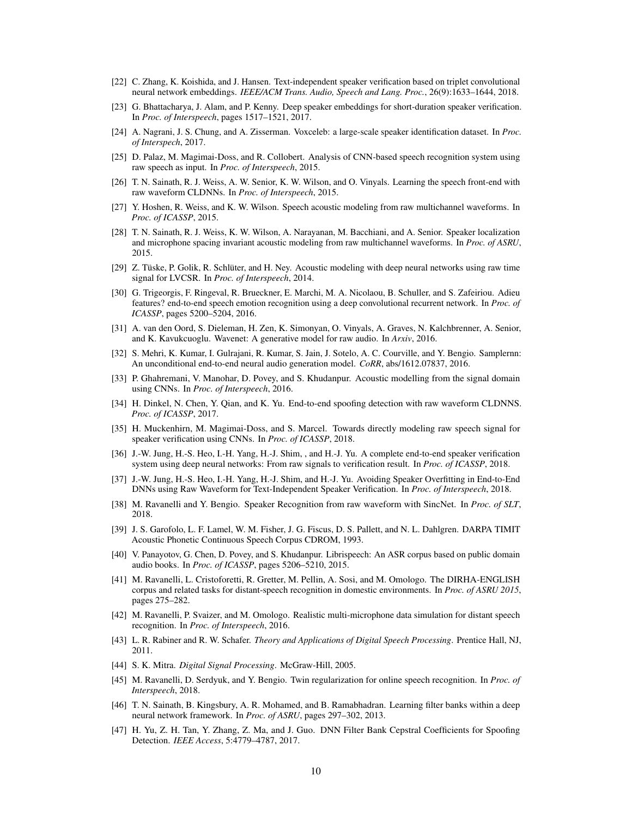- <span id="page-9-0"></span>[22] C. Zhang, K. Koishida, and J. Hansen. Text-independent speaker verification based on triplet convolutional neural network embeddings. *IEEE/ACM Trans. Audio, Speech and Lang. Proc.*, 26(9):1633–1644, 2018.
- <span id="page-9-1"></span>[23] G. Bhattacharya, J. Alam, and P. Kenny. Deep speaker embeddings for short-duration speaker verification. In *Proc. of Interspeech*, pages 1517–1521, 2017.
- <span id="page-9-2"></span>[24] A. Nagrani, J. S. Chung, and A. Zisserman. Voxceleb: a large-scale speaker identification dataset. In *Proc. of Interspech*, 2017.
- <span id="page-9-3"></span>[25] D. Palaz, M. Magimai-Doss, and R. Collobert. Analysis of CNN-based speech recognition system using raw speech as input. In *Proc. of Interspeech*, 2015.
- <span id="page-9-4"></span>[26] T. N. Sainath, R. J. Weiss, A. W. Senior, K. W. Wilson, and O. Vinyals. Learning the speech front-end with raw waveform CLDNNs. In *Proc. of Interspeech*, 2015.
- <span id="page-9-5"></span>[27] Y. Hoshen, R. Weiss, and K. W. Wilson. Speech acoustic modeling from raw multichannel waveforms. In *Proc. of ICASSP*, 2015.
- <span id="page-9-6"></span>[28] T. N. Sainath, R. J. Weiss, K. W. Wilson, A. Narayanan, M. Bacchiani, and A. Senior. Speaker localization and microphone spacing invariant acoustic modeling from raw multichannel waveforms. In *Proc. of ASRU*, 2015.
- <span id="page-9-7"></span>[29] Z. Tüske, P. Golik, R. Schlüter, and H. Ney. Acoustic modeling with deep neural networks using raw time signal for LVCSR. In *Proc. of Interspeech*, 2014.
- <span id="page-9-8"></span>[30] G. Trigeorgis, F. Ringeval, R. Brueckner, E. Marchi, M. A. Nicolaou, B. Schuller, and S. Zafeiriou. Adieu features? end-to-end speech emotion recognition using a deep convolutional recurrent network. In *Proc. of ICASSP*, pages 5200–5204, 2016.
- <span id="page-9-9"></span>[31] A. van den Oord, S. Dieleman, H. Zen, K. Simonyan, O. Vinyals, A. Graves, N. Kalchbrenner, A. Senior, and K. Kavukcuoglu. Wavenet: A generative model for raw audio. In *Arxiv*, 2016.
- <span id="page-9-10"></span>[32] S. Mehri, K. Kumar, I. Gulrajani, R. Kumar, S. Jain, J. Sotelo, A. C. Courville, and Y. Bengio. Samplernn: An unconditional end-to-end neural audio generation model. *CoRR*, abs/1612.07837, 2016.
- <span id="page-9-11"></span>[33] P. Ghahremani, V. Manohar, D. Povey, and S. Khudanpur. Acoustic modelling from the signal domain using CNNs. In *Proc. of Interspeech*, 2016.
- <span id="page-9-12"></span>[34] H. Dinkel, N. Chen, Y. Qian, and K. Yu. End-to-end spoofing detection with raw waveform CLDNNS. *Proc. of ICASSP*, 2017.
- <span id="page-9-13"></span>[35] H. Muckenhirn, M. Magimai-Doss, and S. Marcel. Towards directly modeling raw speech signal for speaker verification using CNNs. In *Proc. of ICASSP*, 2018.
- <span id="page-9-14"></span>[36] J.-W. Jung, H.-S. Heo, I.-H. Yang, H.-J. Shim, , and H.-J. Yu. A complete end-to-end speaker verification system using deep neural networks: From raw signals to verification result. In *Proc. of ICASSP*, 2018.
- <span id="page-9-15"></span>[37] J.-W. Jung, H.-S. Heo, I.-H. Yang, H.-J. Shim, and H.-J. Yu. Avoiding Speaker Overfitting in End-to-End DNNs using Raw Waveform for Text-Independent Speaker Verification. In *Proc. of Interspeech*, 2018.
- <span id="page-9-16"></span>[38] M. Ravanelli and Y. Bengio. Speaker Recognition from raw waveform with SincNet. In *Proc. of SLT*, 2018.
- <span id="page-9-17"></span>[39] J. S. Garofolo, L. F. Lamel, W. M. Fisher, J. G. Fiscus, D. S. Pallett, and N. L. Dahlgren. DARPA TIMIT Acoustic Phonetic Continuous Speech Corpus CDROM, 1993.
- <span id="page-9-18"></span>[40] V. Panayotov, G. Chen, D. Povey, and S. Khudanpur. Librispeech: An ASR corpus based on public domain audio books. In *Proc. of ICASSP*, pages 5206–5210, 2015.
- <span id="page-9-19"></span>[41] M. Ravanelli, L. Cristoforetti, R. Gretter, M. Pellin, A. Sosi, and M. Omologo. The DIRHA-ENGLISH corpus and related tasks for distant-speech recognition in domestic environments. In *Proc. of ASRU 2015*, pages 275–282.
- <span id="page-9-20"></span>[42] M. Ravanelli, P. Svaizer, and M. Omologo. Realistic multi-microphone data simulation for distant speech recognition. In *Proc. of Interspeech*, 2016.
- <span id="page-9-21"></span>[43] L. R. Rabiner and R. W. Schafer. *Theory and Applications of Digital Speech Processing*. Prentice Hall, NJ, 2011.
- <span id="page-9-22"></span>[44] S. K. Mitra. *Digital Signal Processing*. McGraw-Hill, 2005.
- <span id="page-9-23"></span>[45] M. Ravanelli, D. Serdyuk, and Y. Bengio. Twin regularization for online speech recognition. In *Proc. of Interspeech*, 2018.
- <span id="page-9-24"></span>[46] T. N. Sainath, B. Kingsbury, A. R. Mohamed, and B. Ramabhadran. Learning filter banks within a deep neural network framework. In *Proc. of ASRU*, pages 297–302, 2013.
- <span id="page-9-25"></span>[47] H. Yu, Z. H. Tan, Y. Zhang, Z. Ma, and J. Guo. DNN Filter Bank Cepstral Coefficients for Spoofing Detection. *IEEE Access*, 5:4779–4787, 2017.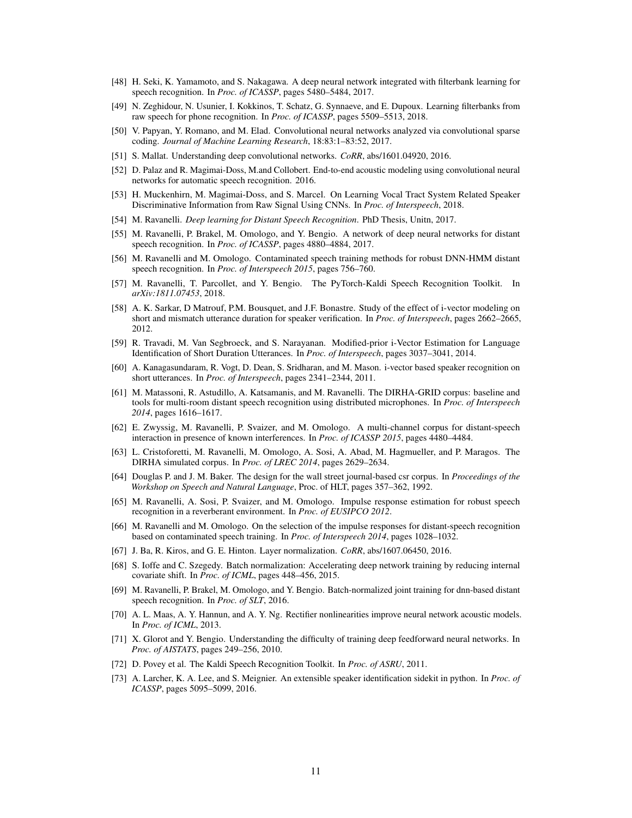- <span id="page-10-0"></span>[48] H. Seki, K. Yamamoto, and S. Nakagawa. A deep neural network integrated with filterbank learning for speech recognition. In *Proc. of ICASSP*, pages 5480–5484, 2017.
- <span id="page-10-1"></span>[49] N. Zeghidour, N. Usunier, I. Kokkinos, T. Schatz, G. Synnaeve, and E. Dupoux. Learning filterbanks from raw speech for phone recognition. In *Proc. of ICASSP*, pages 5509–5513, 2018.
- <span id="page-10-2"></span>[50] V. Papyan, Y. Romano, and M. Elad. Convolutional neural networks analyzed via convolutional sparse coding. *Journal of Machine Learning Research*, 18:83:1–83:52, 2017.
- <span id="page-10-3"></span>[51] S. Mallat. Understanding deep convolutional networks. *CoRR*, abs/1601.04920, 2016.
- <span id="page-10-4"></span>[52] D. Palaz and R. Magimai-Doss, M.and Collobert. End-to-end acoustic modeling using convolutional neural networks for automatic speech recognition. 2016.
- <span id="page-10-5"></span>[53] H. Muckenhirn, M. Magimai-Doss, and S. Marcel. On Learning Vocal Tract System Related Speaker Discriminative Information from Raw Signal Using CNNs. In *Proc. of Interspeech*, 2018.
- <span id="page-10-6"></span>[54] M. Ravanelli. *Deep learning for Distant Speech Recognition*. PhD Thesis, Unitn, 2017.
- <span id="page-10-7"></span>[55] M. Ravanelli, P. Brakel, M. Omologo, and Y. Bengio. A network of deep neural networks for distant speech recognition. In *Proc. of ICASSP*, pages 4880–4884, 2017.
- <span id="page-10-8"></span>[56] M. Ravanelli and M. Omologo. Contaminated speech training methods for robust DNN-HMM distant speech recognition. In *Proc. of Interspeech 2015*, pages 756–760.
- <span id="page-10-9"></span>[57] M. Ravanelli, T. Parcollet, and Y. Bengio. The PyTorch-Kaldi Speech Recognition Toolkit. In *arXiv:1811.07453*, 2018.
- <span id="page-10-10"></span>[58] A. K. Sarkar, D Matrouf, P.M. Bousquet, and J.F. Bonastre. Study of the effect of i-vector modeling on short and mismatch utterance duration for speaker verification. In *Proc. of Interspeech*, pages 2662–2665, 2012.
- <span id="page-10-11"></span>[59] R. Travadi, M. Van Segbroeck, and S. Narayanan. Modified-prior i-Vector Estimation for Language Identification of Short Duration Utterances. In *Proc. of Interspeech*, pages 3037–3041, 2014.
- <span id="page-10-12"></span>[60] A. Kanagasundaram, R. Vogt, D. Dean, S. Sridharan, and M. Mason. i-vector based speaker recognition on short utterances. In *Proc. of Interspeech*, pages 2341–2344, 2011.
- <span id="page-10-13"></span>[61] M. Matassoni, R. Astudillo, A. Katsamanis, and M. Ravanelli. The DIRHA-GRID corpus: baseline and tools for multi-room distant speech recognition using distributed microphones. In *Proc. of Interspeech 2014*, pages 1616–1617.
- <span id="page-10-14"></span>[62] E. Zwyssig, M. Ravanelli, P. Svaizer, and M. Omologo. A multi-channel corpus for distant-speech interaction in presence of known interferences. In *Proc. of ICASSP 2015*, pages 4480–4484.
- <span id="page-10-15"></span>[63] L. Cristoforetti, M. Ravanelli, M. Omologo, A. Sosi, A. Abad, M. Hagmueller, and P. Maragos. The DIRHA simulated corpus. In *Proc. of LREC 2014*, pages 2629–2634.
- <span id="page-10-16"></span>[64] Douglas P. and J. M. Baker. The design for the wall street journal-based csr corpus. In *Proceedings of the Workshop on Speech and Natural Language*, Proc. of HLT, pages 357–362, 1992.
- <span id="page-10-17"></span>[65] M. Ravanelli, A. Sosi, P. Svaizer, and M. Omologo. Impulse response estimation for robust speech recognition in a reverberant environment. In *Proc. of EUSIPCO 2012*.
- <span id="page-10-18"></span>[66] M. Ravanelli and M. Omologo. On the selection of the impulse responses for distant-speech recognition based on contaminated speech training. In *Proc. of Interspeech 2014*, pages 1028–1032.
- <span id="page-10-19"></span>[67] J. Ba, R. Kiros, and G. E. Hinton. Layer normalization. *CoRR*, abs/1607.06450, 2016.
- <span id="page-10-20"></span>[68] S. Ioffe and C. Szegedy. Batch normalization: Accelerating deep network training by reducing internal covariate shift. In *Proc. of ICML*, pages 448–456, 2015.
- <span id="page-10-21"></span>[69] M. Ravanelli, P. Brakel, M. Omologo, and Y. Bengio. Batch-normalized joint training for dnn-based distant speech recognition. In *Proc. of SLT*, 2016.
- <span id="page-10-22"></span>[70] A. L. Maas, A. Y. Hannun, and A. Y. Ng. Rectifier nonlinearities improve neural network acoustic models. In *Proc. of ICML*, 2013.
- <span id="page-10-23"></span>[71] X. Glorot and Y. Bengio. Understanding the difficulty of training deep feedforward neural networks. In *Proc. of AISTATS*, pages 249–256, 2010.
- <span id="page-10-24"></span>[72] D. Povey et al. The Kaldi Speech Recognition Toolkit. In *Proc. of ASRU*, 2011.
- <span id="page-10-25"></span>[73] A. Larcher, K. A. Lee, and S. Meignier. An extensible speaker identification sidekit in python. In *Proc. of ICASSP*, pages 5095–5099, 2016.